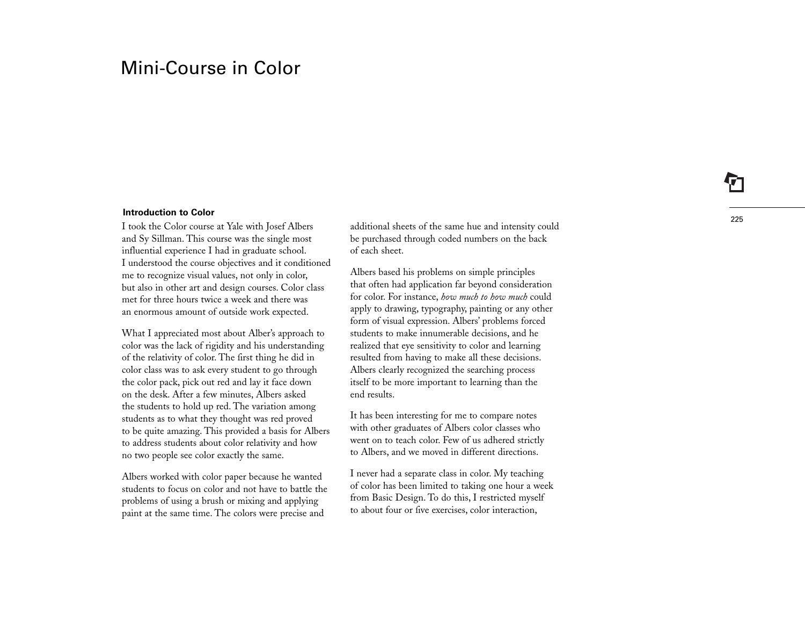# Mini-Course in Color

#### **Introduction to Color**

I took the Color course at Yale with Josef Albers and Sy Sillman. This course was the single most influential experience I had in graduate school. I understood the course objectives and it conditioned me to recognize visual values, not only in color, but also in other art and design courses. Color class met for three hours twice a week and there was an enormous amount of outside work expected.

What I appreciated most about Alber's approach to color was the lack of rigidity and his understanding of the relativity of color. The first thing he did in color class was to ask every student to go through the color pack, pick out red and lay it face down on the desk. After a few minutes, Albers asked the students to hold up red. The variation among students as to what they thought was red proved to be quite amazing. This provided a basis for Albers to address students about color relativity and how no two people see color exactly the same.

Albers worked with color paper because he wanted students to focus on color and not have to battle the problems of using a brush or mixing and applying paint at the same time. The colors were precise and

additional sheets of the same hue and intensity could be purchased through coded numbers on the back of each sheet.

Albers based his problems on simple principles that often had application far beyond consideration for color. For instance, *how much to how much* could apply to drawing, typography, painting or any other form of visual expression. Albers' problems forced students to make innumerable decisions, and he realized that eye sensitivity to color and learning resulted from having to make all these decisions. Albers clearly recognized the searching process itself to be more important to learning than the end results.

It has been interesting for me to compare notes with other graduates of Albers color classes who went on to teach color. Few of us adhered strictly to Albers, and we moved in different directions.

I never had a separate class in color. My teaching of color has been limited to taking one hour a week from Basic Design. To do this, I restricted myself to about four or five exercises, color interaction,

225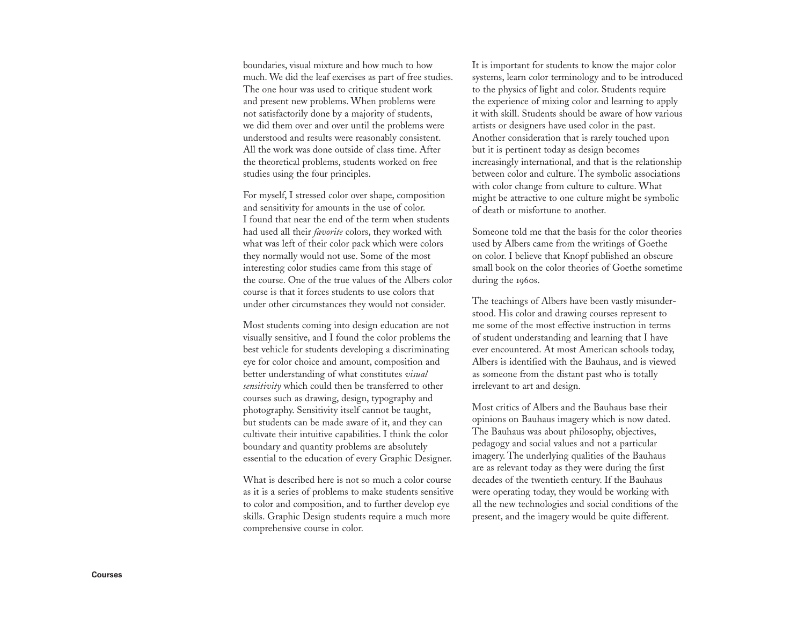boundaries, visual mixture and how much to how much. We did the leaf exercises as part of free studies. The one hour was used to critique student work and present new problems. When problems were not satisfactorily done by a majority of students, we did them over and over until the problems were understood and results were reasonably consistent. All the work was done outside of class time. After the theoretical problems, students worked on free studies using the four principles.

For myself, I stressed color over shape, composition and sensitivity for amounts in the use of color. I found that near the end of the term when students had used all their *favorite* colors, they worked with what was left of their color pack which were colors they normally would not use. Some of the most interesting color studies came from this stage of the course. One of the true values of the Albers color course is that it forces students to use colors that under other circumstances they would not consider.

Most students coming into design education are not visually sensitive, and I found the color problems the best vehicle for students developing a discriminating eye for color choice and amount, composition and better understanding of what constitutes *visual sensitivity* which could then be transferred to other courses such as drawing, design, typography and photography. Sensitivity itself cannot be taught, but students can be made aware of it, and they can cultivate their intuitive capabilities. I think the color boundary and quantity problems are absolutely essential to the education of every Graphic Designer.

What is described here is not so much a color course as it is a series of problems to make students sensitive to color and composition, and to further develop eye skills. Graphic Design students require a much more comprehensive course in color.

It is important for students to know the major color systems, learn color terminology and to be introduced to the physics of light and color. Students require the experience of mixing color and learning to apply it with skill. Students should be aware of how various artists or designers have used color in the past. Another consideration that is rarely touched upon but it is pertinent today as design becomes increasingly international, and that is the relationship between color and culture. The symbolic associations with color change from culture to culture. What might be attractive to one culture might be symbolic of death or misfortune to another.

Someone told me that the basis for the color theories used by Albers came from the writings of Goethe on color. I believe that Knopf published an obscure small book on the color theories of Goethe sometime during the 1960s.

The teachings of Albers have been vastly misunderstood. His color and drawing courses represent to me some of the most effective instruction in terms of student understanding and learning that I have ever encountered. At most American schools today, Albers is identi ed with the Bauhaus, and is viewed as someone from the distant past who is totally irrelevant to art and design.

Most critics of Albers and the Bauhaus base their opinions on Bauhaus imagery which is now dated. The Bauhaus was about philosophy, objectives, pedagogy and social values and not a particular imagery. The underlying qualities of the Bauhaus are as relevant today as they were during the first decades of the twentieth century. If the Bauhaus were operating today, they would be working with all the new technologies and social conditions of the present, and the imagery would be quite different.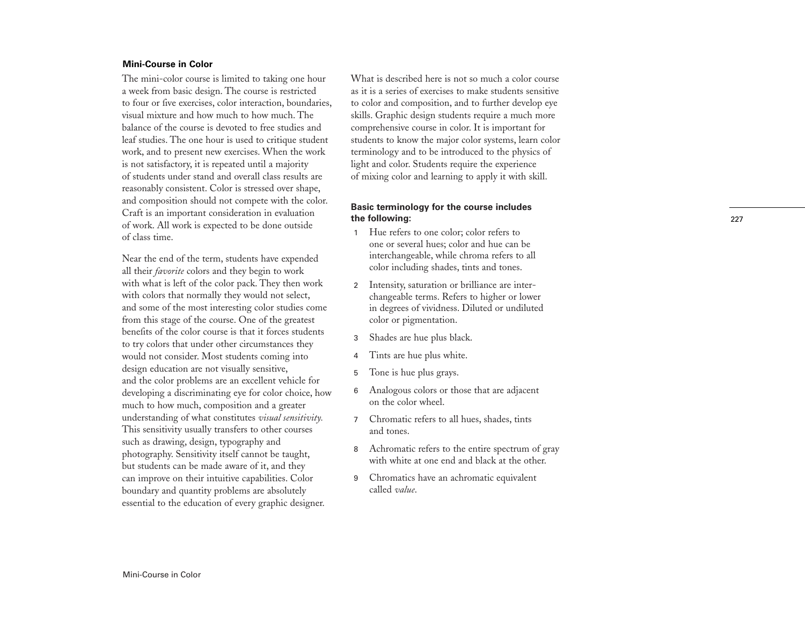# **Mini-Course in Color**

The mini-color course is limited to taking one hour a week from basic design. The course is restricted to four or five exercises, color interaction, boundaries, visual mixture and how much to how much. The balance of the course is devoted to free studies and leaf studies. The one hour is used to critique student work, and to present new exercises. When the work is not satisfactory, it is repeated until a majority of students under stand and overall class results are reasonably consistent. Color is stressed over shape, and composition should not compete with the color. Craft is an important consideration in evaluation of work. All work is expected to be done outside of class time.

Near the end of the term, students have expended all their *favorite* colors and they begin to work with what is left of the color pack. They then work with colors that normally they would not select, and some of the most interesting color studies come from this stage of the course. One of the greatest benefits of the color course is that it forces students to try colors that under other circumstances they would not consider. Most students coming into design education are not visually sensitive, and the color problems are an excellent vehicle for developing a discriminating eye for color choice, how much to how much, composition and a greater understanding of what constitutes *visual sensitivity.* This sensitivity usually transfers to other courses such as drawing, design, typography and photography. Sensitivity itself cannot be taught, but students can be made aware of it, and they can improve on their intuitive capabilities. Color boundary and quantity problems are absolutely essential to the education of every graphic designer.

What is described here is not so much a color course as it is a series of exercises to make students sensitive to color and composition, and to further develop eye skills. Graphic design students require a much more comprehensive course in color. It is important for students to know the major color systems, learn color terminology and to be introduced to the physics of light and color. Students require the experience of mixing color and learning to apply it with skill.

# **Basic terminology for the course includes the following:**

- <sup>1</sup> Hue refers to one color; color refers to one or several hues; color and hue can be interchangeable, while chroma refers to all color including shades, tints and tones.
- <sup>2</sup> Intensity, saturation or brilliance are interchangeable terms. Refers to higher or lower in degrees of vividness. Diluted or undiluted color or pigmentation.
- <sup>3</sup> Shades are hue plus black.
- <sup>4</sup> Tints are hue plus white.
- <sup>5</sup> Tone is hue plus grays.
- <sup>6</sup> Analogous colors or those that are adjacent on the color wheel.
- <sup>7</sup> Chromatic refers to all hues, shades, tints and tones.
- <sup>8</sup> Achromatic refers to the entire spectrum of gray with white at one end and black at the other.
- <sup>9</sup> Chromatics have an achromatic equivalent called *value*.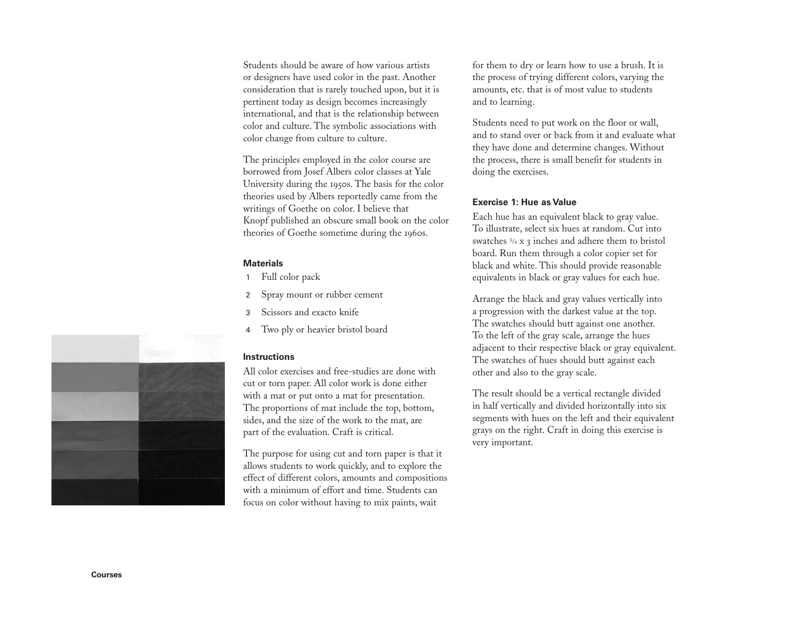Students should be aware of how various artists or designers have used color in the past. Another consideration that is rarely touched upon, but it is pertinent today as design becomes increasingly international, and that is the relationship between color and culture. The symbolic associations with color change from culture to culture.

The principles employed in the color course are borrowed from Josef Albers color classes at Yale University during the <sup>1950</sup>s. The basis for the color theories used by Albers reportedly came from the writings of Goethe on color. I believe that Knopf published an obscure small book on the color theories of Goethe sometime during the 1960s.

#### **Materials**

- <sup>1</sup> Full color pack
- <sup>2</sup> Spray mount or rubber cement
- 3 Scissors and exacto knife
- <sup>4</sup> Two ply or heavier bristol board

#### **Instructions**

All color exercises and free-studies are done with cut or torn paper. All color work is done either with a mat or put onto a mat for presentation. The proportions of mat include the top, bottom, sides, and the size of the work to the mat, are part of the evaluation. Craft is critical.

The purpose for using cut and torn paper is that it allows students to work quickly, and to explore the effect of different colors, amounts and compositions with a minimum of effort and time. Students can focus on color without having to mix paints, wait

for them to dry or learn how to use a brush. It is the process of trying different colors, varying the amounts, etc. that is of most value to students and to learning.

Students need to put work on the floor or wall, and to stand over or back from it and evaluate what they have done and determine changes. Without the process, there is small benefit for students in doing the exercises.

### **Exercise 1: Hue as Value**

Each hue has an equivalent black to gray value. To illustrate, select six hues at random. Cut into swatches  $\frac{3}{4}$  x 3 inches and adhere them to bristol board. Run them through a color copier set for black and white. This should provide reasonable equivalents in black or gray values for each hue.

Arrange the black and gray values vertically into a progression with the darkest value at the top. The swatches should butt against one another. To the left of the gray scale, arrange the hues adjacent to their respective black or gray equivalent. The swatches of hues should butt against each other and also to the gray scale.

The result should be a vertical rectangle divided in half vertically and divided horizontally into six segments with hues on the left and their equivalent grays on the right. Craft in doing this exercise is very important.

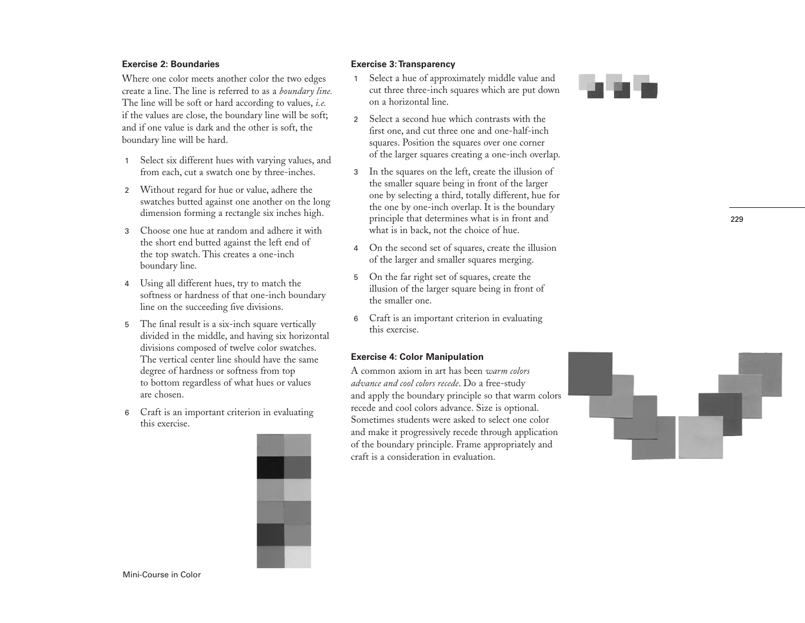# **Exercise 2: Boundaries**

Where one color meets another color the two edges create a line. The line is referred to as a *boundary line.* The line will be soft or hard according to values, *i.e.* if the values are close, the boundary line will be soft; and if one value is dark and the other is soft, the boundary line will be hard.

- <sup>1</sup> Select six different hues with varying values, and from each, cut a swatch one by three-inches.
- <sup>2</sup> Without regard for hue or value, adhere the swatches butted against one another on the long dimension forming a rectangle six inches high.
- 3 Choose one hue at random and adhere it with the short end butted against the left end of the top swatch. This creates a one-inch boundary line.
- <sup>4</sup> Using all different hues, try to match the softness or hardness of that one-inch boundary line on the succeeding five divisions.
- 5 The final result is a six-inch square vertically divided in the middle, and having six horizontal divisions composed of twelve color swatches. The vertical center line should have the same degree of hardness or softness from top to bottom regardless of what hues or values are chosen.
- <sup>6</sup> Craft is an important criterion in evaluating this exercise.



### **Exercise 3:Transparency**

- <sup>1</sup> Select a hue of approximately middle value and cut three three-inch squares which are put down on a horizontal line.
- 2 Select a second hue which contrasts with the first one, and cut three one and one-half-inch squares. Position the squares over one corner of the larger squares creating a one-inch overlap.
- <sup>3</sup> In the squares on the left, create the illusion of the smaller square being in front of the larger one by selecting a third, totally different, hue for the one by one-inch overlap. It is the boundary principle that determines what is in front and what is in back, not the choice of hue.
- <sup>4</sup> On the second set of squares, create the illusion of the larger and smaller squares merging.
- <sup>5</sup> On the far right set of squares, create the illusion of the larger square being in front of the smaller one.
- <sup>6</sup> Craft is an important criterion in evaluating this exercise.

#### **Exercise 4: Color Manipulation**

A common axiom in art has been *warm colors advance and cool colors recede*. Do a free-study and apply the boundary principle so that warm colors recede and cool colors advance. Size is optional. Sometimes students were asked to select one color and make it progressively recede through application of the boundary principle. Frame appropriately and craft is a consideration in evaluation.



229

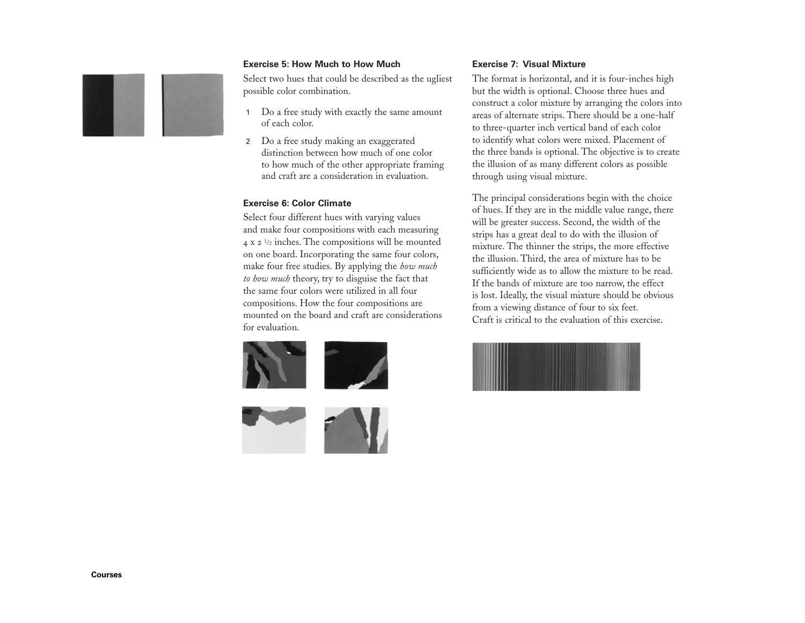# **Exercise 5: How Much to How Much**

Select two hues that could be described as the ugliest possible color combination.

- <sup>1</sup> Do a free study with exactly the same amount of each color.
- <sup>2</sup> Do a free study making an exaggerated distinction between how much of one color to how much of the other appropriate framing and craft are a consideration in evaluation.

# **Exercise 6: Color Climate**

Select four different hues with varying values and make four compositions with each measuring <sup>4</sup><sup>x</sup> <sup>2</sup> 1/2 inches. The compositions will be mounted on one board. Incorporating the same four colors, make four free studies. By applying the *how much to how much* theory, try to disguise the fact that the same four colors were utilized in all four compositions. How the four compositions are mounted on the board and craft are considerations for evaluation.





# **Exercise 7: Visual Mixture**

The format is horizontal, and it is four-inches high but the width is optional. Choose three hues and construct a color mixture by arranging the colors into areas of alternate strips. There should be a one-half to three-quarter inch vertical band of each color to identify what colors were mixed. Placement of the three bands is optional. The objective is to create the illusion of as many different colors as possible through using visual mixture.

The principal considerations begin with the choice of hues. If they are in the middle value range, there will be greater success. Second, the width of the strips has a great deal to do with the illusion of mixture. The thinner the strips, the more effective the illusion. Third, the area of mixture has to be sufficiently wide as to allow the mixture to be read. If the bands of mixture are too narrow, the effect is lost. Ideally, the visual mixture should be obvious from a viewing distance of four to six feet. Craft is critical to the evaluation of this exercise.

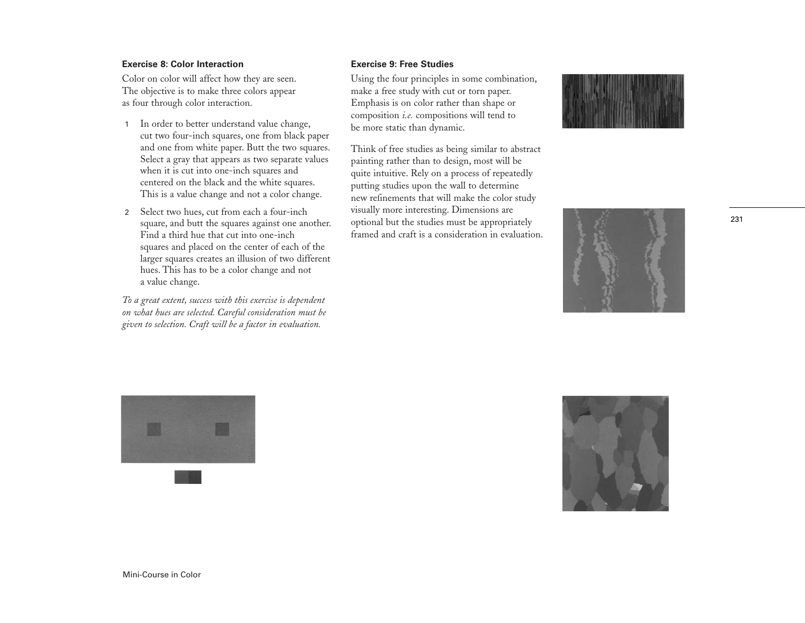# **Exercise 8: Color Interaction**

Color on color will affect how they are seen. The objective is to make three colors appear as four through color interaction.

- 1 In order to better understand value change, cut two four-inch squares, one from black paper and one from white paper. Butt the two squares. Select a gray that appears as two separate values when it is cut into one-inch squares and centered on the black and the white squares. This is a value change and not a color change.
- <sup>2</sup> Select two hues, cut from each a four-inch square, and butt the squares against one another. Find a third hue that cut into one-inch squares and placed on the center of each of the larger squares creates an illusion of two different hues. This has to be a color change and not a value change.

*To a great extent, success with this exercise is dependent on what hues are selected. Careful consideration must be given to selection. Craft will be a factor in evaluation.*

# **Exercise 9: Free Studies**

Using the four principles in some combination, make a free study with cut or torn paper. Emphasis is on color rather than shape or composition *i.e.* compositions will tend to be more static than dynamic.

Think of free studies as being similar to abstract painting rather than to design, most will be quite intuitive. Rely on a process of repeatedly putting studies upon the wall to determine new refinements that will make the color study visually more interesting. Dimensions are optional but the studies must be appropriately framed and craft is a consideration in evaluation.





231





Mini-Course in Color